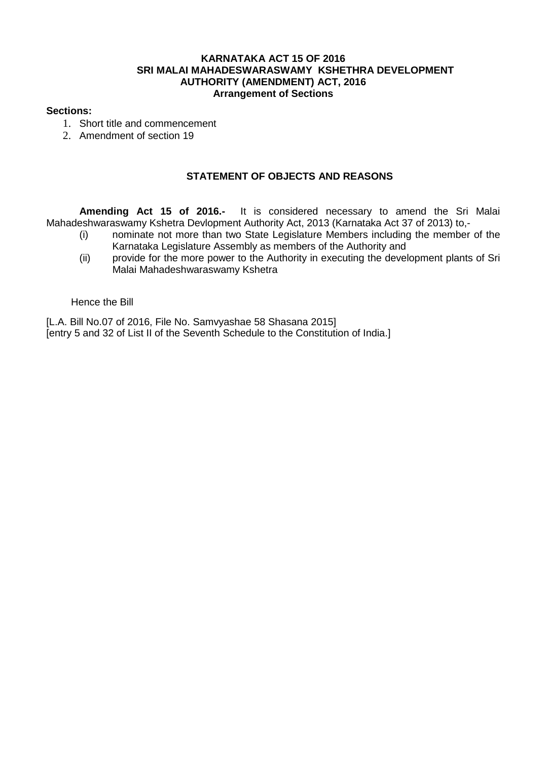# **KARNATAKA ACT 15 OF 2016 SRI MALAI MAHADESWARASWAMY KSHETHRA DEVELOPMENT AUTHORITY (AMENDMENT) ACT, 2016 Arrangement of Sections**

# **Sections:**

- 1. Short title and commencement
- 2. Amendment of section 19

# **STATEMENT OF OBJECTS AND REASONS**

**Amending Act 15 of 2016.-** It is considered necessary to amend the Sri Malai Mahadeshwaraswamy Kshetra Devlopment Authority Act, 2013 (Karnataka Act 37 of 2013) to,-

- (i) nominate not more than two State Legislature Members including the member of the Karnataka Legislature Assembly as members of the Authority and
- (ii) provide for the more power to the Authority in executing the development plants of Sri Malai Mahadeshwaraswamy Kshetra

#### Hence the Bill

[L.A. Bill No.07 of 2016, File No. Samvyashae 58 Shasana 2015] [entry 5 and 32 of List II of the Seventh Schedule to the Constitution of India.]